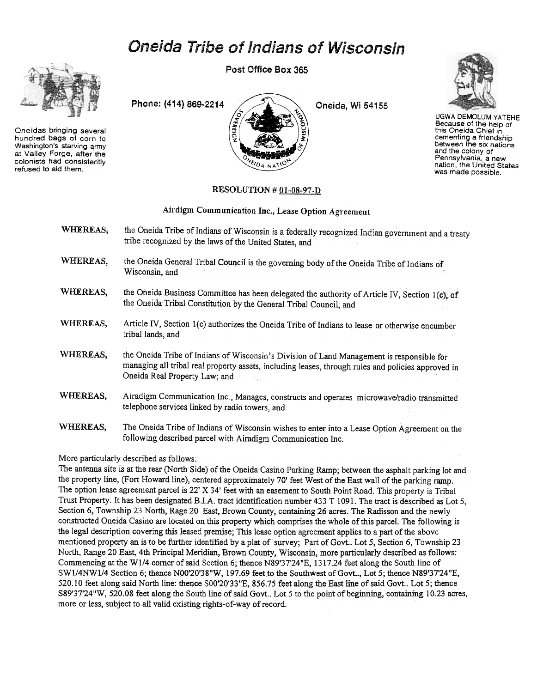# Oneida Tribe of Indians of Wisconsin



Oneidas bringing several hundred bags of corn to Washington's starving army at Valley Forge, after the colonists had consistently refused to aid them.

Post Office Box 365





UGWA DEMOLUM YATEHE Because of the help of this Oneida Chief in cementing a friendshij<br>between the six nation and the colony of Pennsylvania. a new nation, the United States was made possible.

#### RESOLUTION  $#01-08-97-D$

## Airdigm Communication Inc., Lease Option Agreement

- WHEREAS, the Oneida Tribe of Indians of Wisconsin is a federally recognized Indian government and a treaty tribe recognized by the laws of the United States, and
- WHEREAS, the Oneida General Tribal Council is the governing body of the Oneida Tribe of Indians of Wisconsin, and
- WHEREAS, the Oneida Business Committee has been delegated the authority of Article IV, Section 1(c), of the Oneida Tribal Constitution by the General Tribal Council, and
- WHEREAS, Article IV, Section 1(c) authorizes the Oneida Tribe of Indians to lease or otherwise encumber tribal lands, and
- WHEREAS, the Oneida Tribe of Indians of Wisconsin's Division of Land Management is responsible for managing all tribal real property assets, including leases, through rules and policies approved in Oneida Real Property Law; and
- WHEREAS, Airadigm Communication Inc., Manages, constructs and operates microwave/radio transmitted telephone services linked by radio towers, and
- WHEREAS, The Oneida Tribe of Indians of Wisconsin wishes to enter into a Lease Option Agreement on the following described parcel with Airadigm Communication Inc.

## More particularly described as follows:

The antenna site is at the rear (North Side) of the Oneida Casino Parking Ramp; between the asphalt parking lot and the property line, (Fort Howard line), centered approximately 70' feet West of the East wall of the parking ramp. The option lease agreement parcel is 22' X 34' feet with an easement to South Point Road. This property is Tribal Trust Property. It has been designated B.I.A. tract identification number 433 T 1091. The tract is described as Lot 5, Section 6, Township 23 North, Rage 20 East, Brown County, containing 26 acres. The Radisson and the newly constructed Oneida Casino are located on this property which comprises the whole of this parcel. The following is the legal description covering this leased premise; This lease option agreement applies to a part of the above mentioned property an is to be further identified by a plat of survey; Part of Govt.. Lot 5, Section 6, Township 23 North, Range 20 East, 4th Principal Meridian, Brown County, Wisconsin, more particularly described as follows: Commencing at theWl/4 comer of said Section 6; thence N89'37'24"E, 1317.24 feet along the South line of SW1/4NW1/4 Section 6; thence N00'20'38"W, 197.69 feet to the Southwest of Govt.., Lot 5; thence N89'37'24"E, 520.10 feet along said North line: thence SOO'20'33"E, 856.75 feet along the East line of said Govt.. Lot 5; thence S89'37'24"W, 520.08 feet along the South line of said Govt.. Lot 5 to the point of beginning, containing 10.23 acres, more or less, subject to all valid existing rights-of-way of record.